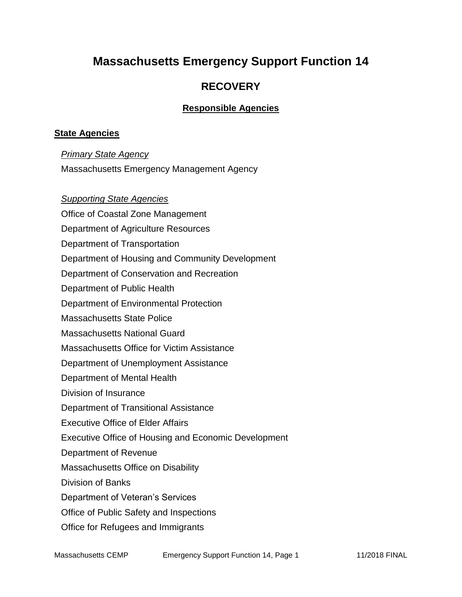## **Massachusetts Emergency Support Function 14**

### **RECOVERY**

#### **Responsible Agencies**

#### **State Agencies**

*Primary State Agency*

Massachusetts Emergency Management Agency

*Supporting State Agencies*  Office of Coastal Zone Management Department of Agriculture Resources Department of Transportation Department of Housing and Community Development Department of Conservation and Recreation Department of Public Health Department of Environmental Protection Massachusetts State Police Massachusetts National Guard Massachusetts Office for Victim Assistance Department of Unemployment Assistance Department of Mental Health Division of Insurance Department of Transitional Assistance Executive Office of Elder Affairs Executive Office of Housing and Economic Development Department of Revenue Massachusetts Office on Disability Division of Banks Department of Veteran's Services Office of Public Safety and Inspections Office for Refugees and Immigrants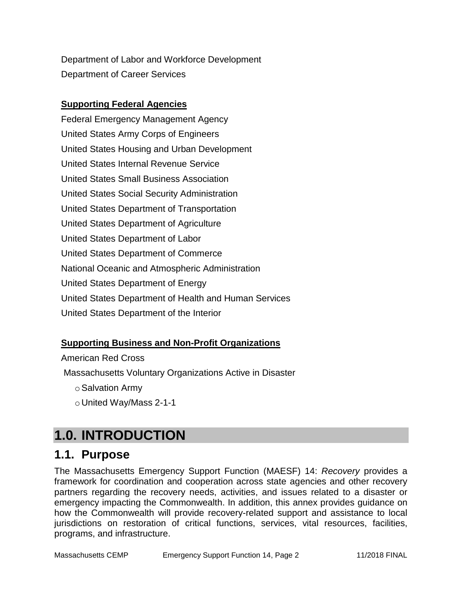Department of Labor and Workforce Development Department of Career Services

#### **Supporting Federal Agencies**

Federal Emergency Management Agency United States Army Corps of Engineers United States Housing and Urban Development United States Internal Revenue Service United States Small Business Association United States Social Security Administration United States Department of Transportation United States Department of Agriculture United States Department of Labor United States Department of Commerce National Oceanic and Atmospheric Administration United States Department of Energy United States Department of Health and Human Services United States Department of the Interior

#### **Supporting Business and Non-Profit Organizations**

#### American Red Cross

Massachusetts Voluntary Organizations Active in Disaster

- oSalvation Army
- o United Way/Mass 2-1-1

## **1.0. INTRODUCTION**

### **1.1. Purpose**

The Massachusetts Emergency Support Function (MAESF) 14: *Recovery* provides a framework for coordination and cooperation across state agencies and other recovery partners regarding the recovery needs, activities, and issues related to a disaster or emergency impacting the Commonwealth. In addition, this annex provides guidance on how the Commonwealth will provide recovery-related support and assistance to local jurisdictions on restoration of critical functions, services, vital resources, facilities, programs, and infrastructure.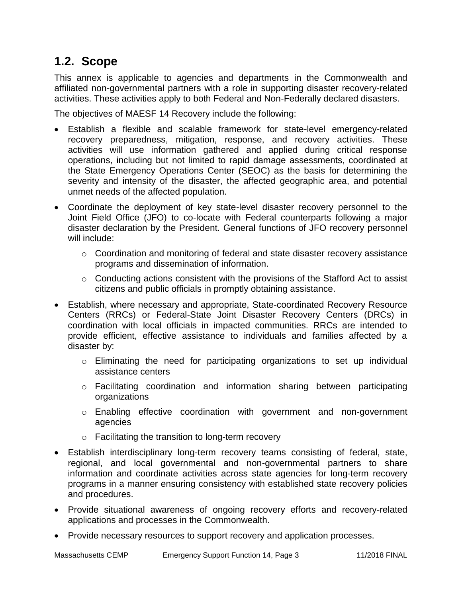### **1.2. Scope**

This annex is applicable to agencies and departments in the Commonwealth and affiliated non-governmental partners with a role in supporting disaster recovery-related activities. These activities apply to both Federal and Non-Federally declared disasters.

The objectives of MAESF 14 Recovery include the following:

- Establish a flexible and scalable framework for state-level emergency-related recovery preparedness, mitigation, response, and recovery activities. These activities will use information gathered and applied during critical response operations, including but not limited to rapid damage assessments, coordinated at the State Emergency Operations Center (SEOC) as the basis for determining the severity and intensity of the disaster, the affected geographic area, and potential unmet needs of the affected population.
- Coordinate the deployment of key state-level disaster recovery personnel to the Joint Field Office (JFO) to co-locate with Federal counterparts following a major disaster declaration by the President. General functions of JFO recovery personnel will include:
	- o Coordination and monitoring of federal and state disaster recovery assistance programs and dissemination of information.
	- o Conducting actions consistent with the provisions of the Stafford Act to assist citizens and public officials in promptly obtaining assistance.
- Establish, where necessary and appropriate, State-coordinated Recovery Resource Centers (RRCs) or Federal-State Joint Disaster Recovery Centers (DRCs) in coordination with local officials in impacted communities. RRCs are intended to provide efficient, effective assistance to individuals and families affected by a disaster by:
	- o Eliminating the need for participating organizations to set up individual assistance centers
	- o Facilitating coordination and information sharing between participating organizations
	- o Enabling effective coordination with government and non-government agencies
	- o Facilitating the transition to long-term recovery
- Establish interdisciplinary long-term recovery teams consisting of federal, state, regional, and local governmental and non-governmental partners to share information and coordinate activities across state agencies for long-term recovery programs in a manner ensuring consistency with established state recovery policies and procedures.
- Provide situational awareness of ongoing recovery efforts and recovery-related applications and processes in the Commonwealth.
- Provide necessary resources to support recovery and application processes.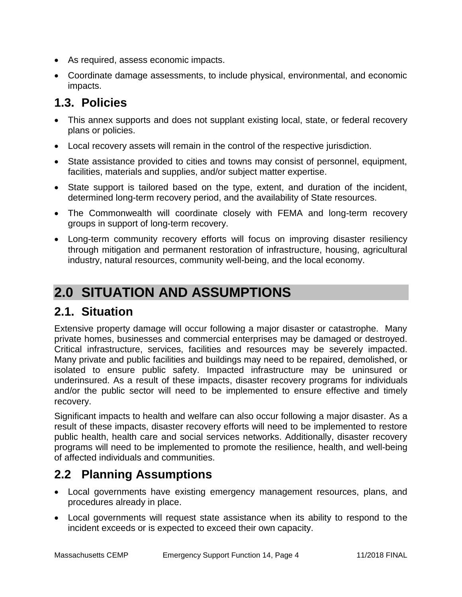- As required, assess economic impacts.
- Coordinate damage assessments, to include physical, environmental, and economic impacts.

## **1.3. Policies**

- This annex supports and does not supplant existing local, state, or federal recovery plans or policies.
- Local recovery assets will remain in the control of the respective jurisdiction.
- State assistance provided to cities and towns may consist of personnel, equipment, facilities, materials and supplies, and/or subject matter expertise.
- State support is tailored based on the type, extent, and duration of the incident, determined long-term recovery period, and the availability of State resources.
- The Commonwealth will coordinate closely with FEMA and long-term recovery groups in support of long-term recovery.
- Long-term community recovery efforts will focus on improving disaster resiliency through mitigation and permanent restoration of infrastructure, housing, agricultural industry, natural resources, community well-being, and the local economy.

# **2.0 SITUATION AND ASSUMPTIONS**

## **2.1. Situation**

Extensive property damage will occur following a major disaster or catastrophe. Many private homes, businesses and commercial enterprises may be damaged or destroyed. Critical infrastructure, services, facilities and resources may be severely impacted. Many private and public facilities and buildings may need to be repaired, demolished, or isolated to ensure public safety. Impacted infrastructure may be uninsured or underinsured. As a result of these impacts, disaster recovery programs for individuals and/or the public sector will need to be implemented to ensure effective and timely recovery.

Significant impacts to health and welfare can also occur following a major disaster. As a result of these impacts, disaster recovery efforts will need to be implemented to restore public health, health care and social services networks. Additionally, disaster recovery programs will need to be implemented to promote the resilience, health, and well-being of affected individuals and communities.

### **2.2 Planning Assumptions**

- Local governments have existing emergency management resources, plans, and procedures already in place.
- Local governments will request state assistance when its ability to respond to the incident exceeds or is expected to exceed their own capacity.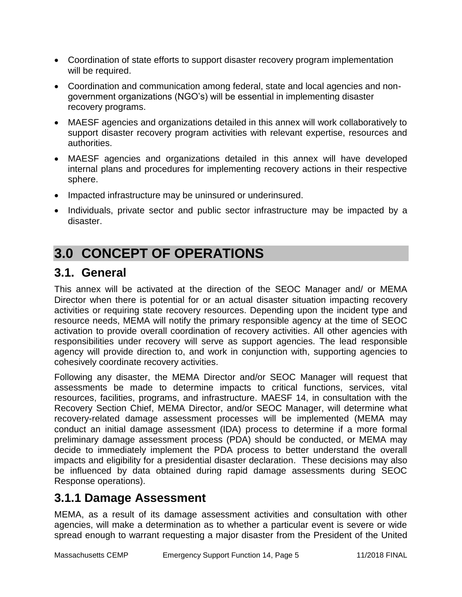- Coordination of state efforts to support disaster recovery program implementation will be required.
- Coordination and communication among federal, state and local agencies and nongovernment organizations (NGO's) will be essential in implementing disaster recovery programs.
- MAESF agencies and organizations detailed in this annex will work collaboratively to support disaster recovery program activities with relevant expertise, resources and authorities.
- MAESF agencies and organizations detailed in this annex will have developed internal plans and procedures for implementing recovery actions in their respective sphere.
- Impacted infrastructure may be uninsured or underinsured.
- Individuals, private sector and public sector infrastructure may be impacted by a disaster.

# **3.0 CONCEPT OF OPERATIONS**

## **3.1. General**

This annex will be activated at the direction of the SEOC Manager and/ or MEMA Director when there is potential for or an actual disaster situation impacting recovery activities or requiring state recovery resources. Depending upon the incident type and resource needs, MEMA will notify the primary responsible agency at the time of SEOC activation to provide overall coordination of recovery activities. All other agencies with responsibilities under recovery will serve as support agencies. The lead responsible agency will provide direction to, and work in conjunction with, supporting agencies to cohesively coordinate recovery activities.

Following any disaster, the MEMA Director and/or SEOC Manager will request that assessments be made to determine impacts to critical functions, services, vital resources, facilities, programs, and infrastructure. MAESF 14, in consultation with the Recovery Section Chief, MEMA Director, and/or SEOC Manager, will determine what recovery-related damage assessment processes will be implemented (MEMA may conduct an initial damage assessment (IDA) process to determine if a more formal preliminary damage assessment process (PDA) should be conducted, or MEMA may decide to immediately implement the PDA process to better understand the overall impacts and eligibility for a presidential disaster declaration. These decisions may also be influenced by data obtained during rapid damage assessments during SEOC Response operations).

### **3.1.1 Damage Assessment**

MEMA, as a result of its damage assessment activities and consultation with other agencies, will make a determination as to whether a particular event is severe or wide spread enough to warrant requesting a major disaster from the President of the United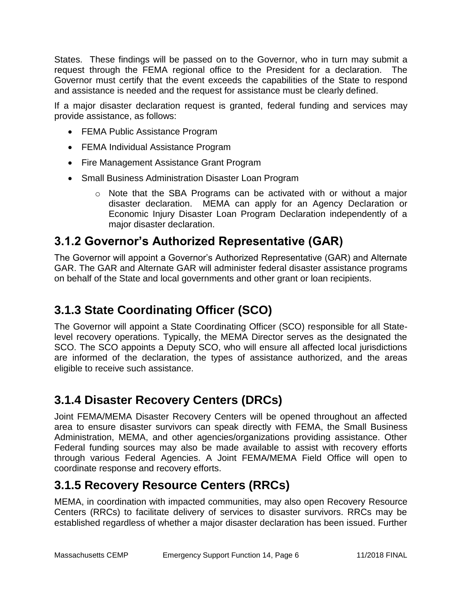States. These findings will be passed on to the Governor, who in turn may submit a request through the FEMA regional office to the President for a declaration. The Governor must certify that the event exceeds the capabilities of the State to respond and assistance is needed and the request for assistance must be clearly defined.

If a major disaster declaration request is granted, federal funding and services may provide assistance, as follows:

- FEMA Public Assistance Program
- FEMA Individual Assistance Program
- Fire Management Assistance Grant Program
- Small Business Administration Disaster Loan Program
	- o Note that the SBA Programs can be activated with or without a major disaster declaration. MEMA can apply for an Agency Declaration or Economic Injury Disaster Loan Program Declaration independently of a major disaster declaration.

## **3.1.2 Governor's Authorized Representative (GAR)**

The Governor will appoint a Governor's Authorized Representative (GAR) and Alternate GAR. The GAR and Alternate GAR will administer federal disaster assistance programs on behalf of the State and local governments and other grant or loan recipients.

## **3.1.3 State Coordinating Officer (SCO)**

The Governor will appoint a State Coordinating Officer (SCO) responsible for all Statelevel recovery operations. Typically, the MEMA Director serves as the designated the SCO. The SCO appoints a Deputy SCO, who will ensure all affected local jurisdictions are informed of the declaration, the types of assistance authorized, and the areas eligible to receive such assistance.

## **3.1.4 Disaster Recovery Centers (DRCs)**

Joint FEMA/MEMA Disaster Recovery Centers will be opened throughout an affected area to ensure disaster survivors can speak directly with FEMA, the Small Business Administration, MEMA, and other agencies/organizations providing assistance. Other Federal funding sources may also be made available to assist with recovery efforts through various Federal Agencies. A Joint FEMA/MEMA Field Office will open to coordinate response and recovery efforts.

## **3.1.5 Recovery Resource Centers (RRCs)**

MEMA, in coordination with impacted communities, may also open Recovery Resource Centers (RRCs) to facilitate delivery of services to disaster survivors. RRCs may be established regardless of whether a major disaster declaration has been issued. Further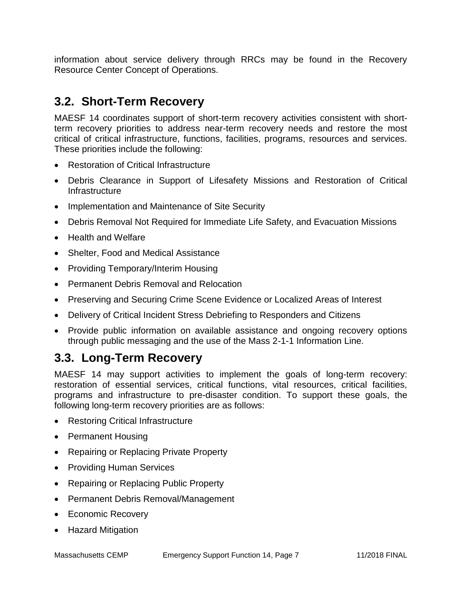information about service delivery through RRCs may be found in the Recovery Resource Center Concept of Operations.

### **3.2. Short-Term Recovery**

MAESF 14 coordinates support of short-term recovery activities consistent with shortterm recovery priorities to address near-term recovery needs and restore the most critical of critical infrastructure, functions, facilities, programs, resources and services. These priorities include the following:

- Restoration of Critical Infrastructure
- Debris Clearance in Support of Lifesafety Missions and Restoration of Critical Infrastructure
- Implementation and Maintenance of Site Security
- Debris Removal Not Required for Immediate Life Safety, and Evacuation Missions
- Health and Welfare
- Shelter, Food and Medical Assistance
- Providing Temporary/Interim Housing
- Permanent Debris Removal and Relocation
- Preserving and Securing Crime Scene Evidence or Localized Areas of Interest
- Delivery of Critical Incident Stress Debriefing to Responders and Citizens
- Provide public information on available assistance and ongoing recovery options through public messaging and the use of the Mass 2-1-1 Information Line.

### **3.3. Long-Term Recovery**

MAESF 14 may support activities to implement the goals of long-term recovery: restoration of essential services, critical functions, vital resources, critical facilities, programs and infrastructure to pre-disaster condition. To support these goals, the following long-term recovery priorities are as follows:

- Restoring Critical Infrastructure
- Permanent Housing
- Repairing or Replacing Private Property
- Providing Human Services
- Repairing or Replacing Public Property
- Permanent Debris Removal/Management
- Economic Recovery
- Hazard Mitigation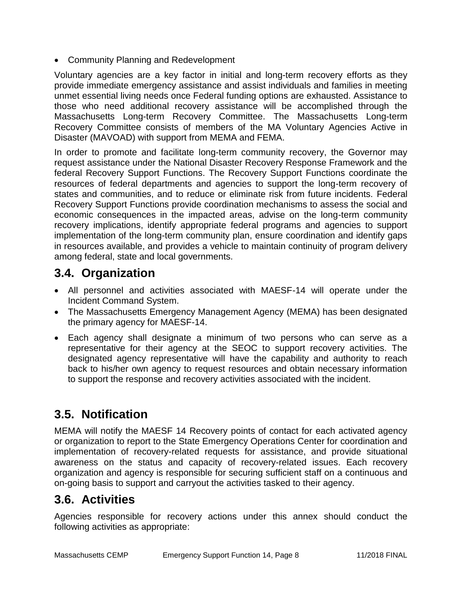Community Planning and Redevelopment

Voluntary agencies are a key factor in initial and long-term recovery efforts as they provide immediate emergency assistance and assist individuals and families in meeting unmet essential living needs once Federal funding options are exhausted. Assistance to those who need additional recovery assistance will be accomplished through the Massachusetts Long-term Recovery Committee. The Massachusetts Long-term Recovery Committee consists of members of the MA Voluntary Agencies Active in Disaster (MAVOAD) with support from MEMA and FEMA.

In order to promote and facilitate long-term community recovery, the Governor may request assistance under the National Disaster Recovery Response Framework and the federal Recovery Support Functions. The Recovery Support Functions coordinate the resources of federal departments and agencies to support the long-term recovery of states and communities, and to reduce or eliminate risk from future incidents. Federal Recovery Support Functions provide coordination mechanisms to assess the social and economic consequences in the impacted areas, advise on the long-term community recovery implications, identify appropriate federal programs and agencies to support implementation of the long-term community plan, ensure coordination and identify gaps in resources available, and provides a vehicle to maintain continuity of program delivery among federal, state and local governments.

## **3.4. Organization**

- All personnel and activities associated with MAESF-14 will operate under the Incident Command System.
- The Massachusetts Emergency Management Agency (MEMA) has been designated the primary agency for MAESF-14.
- Each agency shall designate a minimum of two persons who can serve as a representative for their agency at the SEOC to support recovery activities. The designated agency representative will have the capability and authority to reach back to his/her own agency to request resources and obtain necessary information to support the response and recovery activities associated with the incident.

## **3.5. Notification**

MEMA will notify the MAESF 14 Recovery points of contact for each activated agency or organization to report to the State Emergency Operations Center for coordination and implementation of recovery-related requests for assistance, and provide situational awareness on the status and capacity of recovery-related issues. Each recovery organization and agency is responsible for securing sufficient staff on a continuous and on-going basis to support and carryout the activities tasked to their agency.

## **3.6. Activities**

Agencies responsible for recovery actions under this annex should conduct the following activities as appropriate: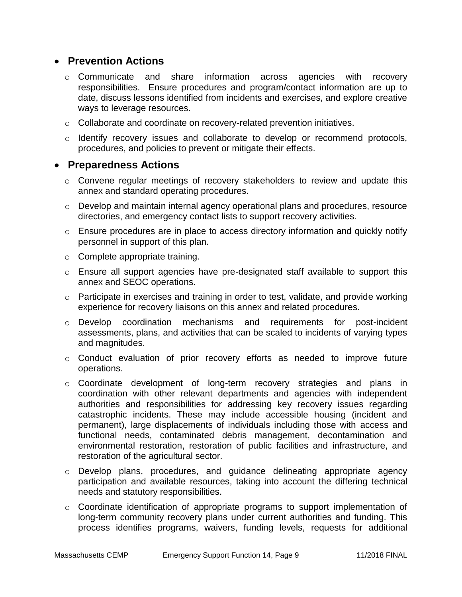#### **Prevention Actions**

- $\circ$  Communicate and share information across agencies with recovery responsibilities. Ensure procedures and program/contact information are up to date, discuss lessons identified from incidents and exercises, and explore creative ways to leverage resources.
- $\circ$  Collaborate and coordinate on recovery-related prevention initiatives.
- $\circ$  Identify recovery issues and collaborate to develop or recommend protocols, procedures, and policies to prevent or mitigate their effects.

#### **Preparedness Actions**

- $\circ$  Convene regular meetings of recovery stakeholders to review and update this annex and standard operating procedures.
- $\circ$  Develop and maintain internal agency operational plans and procedures, resource directories, and emergency contact lists to support recovery activities.
- o Ensure procedures are in place to access directory information and quickly notify personnel in support of this plan.
- o Complete appropriate training.
- $\circ$  Ensure all support agencies have pre-designated staff available to support this annex and SEOC operations.
- o Participate in exercises and training in order to test, validate, and provide working experience for recovery liaisons on this annex and related procedures.
- o Develop coordination mechanisms and requirements for post-incident assessments, plans, and activities that can be scaled to incidents of varying types and magnitudes.
- o Conduct evaluation of prior recovery efforts as needed to improve future operations.
- o Coordinate development of long-term recovery strategies and plans in coordination with other relevant departments and agencies with independent authorities and responsibilities for addressing key recovery issues regarding catastrophic incidents. These may include accessible housing (incident and permanent), large displacements of individuals including those with access and functional needs, contaminated debris management, decontamination and environmental restoration, restoration of public facilities and infrastructure, and restoration of the agricultural sector.
- o Develop plans, procedures, and guidance delineating appropriate agency participation and available resources, taking into account the differing technical needs and statutory responsibilities.
- $\circ$  Coordinate identification of appropriate programs to support implementation of long-term community recovery plans under current authorities and funding. This process identifies programs, waivers, funding levels, requests for additional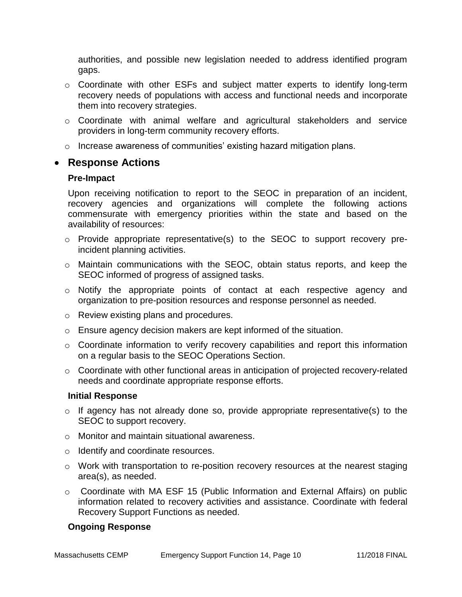authorities, and possible new legislation needed to address identified program gaps.

- o Coordinate with other ESFs and subject matter experts to identify long-term recovery needs of populations with access and functional needs and incorporate them into recovery strategies.
- o Coordinate with animal welfare and agricultural stakeholders and service providers in long-term community recovery efforts.
- $\circ$  Increase awareness of communities' existing hazard mitigation plans.

#### **Response Actions**

#### **Pre-Impact**

Upon receiving notification to report to the SEOC in preparation of an incident, recovery agencies and organizations will complete the following actions commensurate with emergency priorities within the state and based on the availability of resources:

- o Provide appropriate representative(s) to the SEOC to support recovery preincident planning activities.
- o Maintain communications with the SEOC, obtain status reports, and keep the SEOC informed of progress of assigned tasks.
- o Notify the appropriate points of contact at each respective agency and organization to pre-position resources and response personnel as needed.
- o Review existing plans and procedures.
- o Ensure agency decision makers are kept informed of the situation.
- o Coordinate information to verify recovery capabilities and report this information on a regular basis to the SEOC Operations Section.
- o Coordinate with other functional areas in anticipation of projected recovery-related needs and coordinate appropriate response efforts.

#### **Initial Response**

- $\circ$  If agency has not already done so, provide appropriate representative(s) to the SEOC to support recovery.
- o Monitor and maintain situational awareness.
- o Identify and coordinate resources.
- $\circ$  Work with transportation to re-position recovery resources at the nearest staging area(s), as needed.
- o Coordinate with MA ESF 15 (Public Information and External Affairs) on public information related to recovery activities and assistance. Coordinate with federal Recovery Support Functions as needed.

#### **Ongoing Response**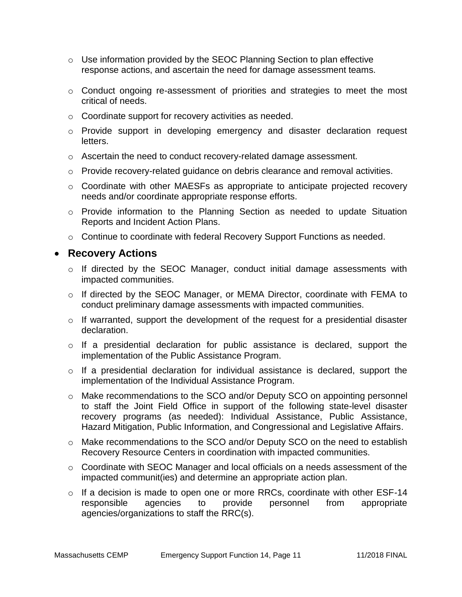- o Use information provided by the SEOC Planning Section to plan effective response actions, and ascertain the need for damage assessment teams.
- o Conduct ongoing re-assessment of priorities and strategies to meet the most critical of needs.
- o Coordinate support for recovery activities as needed.
- o Provide support in developing emergency and disaster declaration request letters.
- $\circ$  Ascertain the need to conduct recovery-related damage assessment.
- $\circ$  Provide recovery-related guidance on debris clearance and removal activities.
- o Coordinate with other MAESFs as appropriate to anticipate projected recovery needs and/or coordinate appropriate response efforts.
- o Provide information to the Planning Section as needed to update Situation Reports and Incident Action Plans.
- o Continue to coordinate with federal Recovery Support Functions as needed.

#### **Recovery Actions**

- o If directed by the SEOC Manager, conduct initial damage assessments with impacted communities.
- o If directed by the SEOC Manager, or MEMA Director, coordinate with FEMA to conduct preliminary damage assessments with impacted communities.
- o If warranted, support the development of the request for a presidential disaster declaration.
- o If a presidential declaration for public assistance is declared, support the implementation of the Public Assistance Program.
- o If a presidential declaration for individual assistance is declared, support the implementation of the Individual Assistance Program.
- o Make recommendations to the SCO and/or Deputy SCO on appointing personnel to staff the Joint Field Office in support of the following state-level disaster recovery programs (as needed): Individual Assistance, Public Assistance, Hazard Mitigation, Public Information, and Congressional and Legislative Affairs.
- o Make recommendations to the SCO and/or Deputy SCO on the need to establish Recovery Resource Centers in coordination with impacted communities.
- o Coordinate with SEOC Manager and local officials on a needs assessment of the impacted communit(ies) and determine an appropriate action plan.
- $\circ$  If a decision is made to open one or more RRCs, coordinate with other ESF-14 responsible agencies to provide personnel from appropriate agencies/organizations to staff the RRC(s).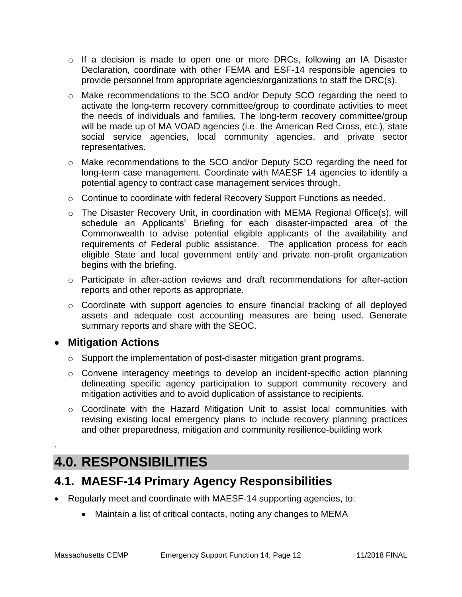- o If a decision is made to open one or more DRCs, following an IA Disaster Declaration, coordinate with other FEMA and ESF-14 responsible agencies to provide personnel from appropriate agencies/organizations to staff the DRC(s).
- o Make recommendations to the SCO and/or Deputy SCO regarding the need to activate the long-term recovery committee/group to coordinate activities to meet the needs of individuals and families. The long-term recovery committee/group will be made up of MA VOAD agencies (i.e. the American Red Cross, etc.), state social service agencies, local community agencies, and private sector representatives.
- o Make recommendations to the SCO and/or Deputy SCO regarding the need for long-term case management. Coordinate with MAESF 14 agencies to identify a potential agency to contract case management services through.
- $\circ$  Continue to coordinate with federal Recovery Support Functions as needed.
- o The Disaster Recovery Unit, in coordination with MEMA Regional Office(s), will schedule an Applicants' Briefing for each disaster-impacted area of the Commonwealth to advise potential eligible applicants of the availability and requirements of Federal public assistance. The application process for each eligible State and local government entity and private non-profit organization begins with the briefing.
- o Participate in after-action reviews and draft recommendations for after-action reports and other reports as appropriate.
- o Coordinate with support agencies to ensure financial tracking of all deployed assets and adequate cost accounting measures are being used. Generate summary reports and share with the SEOC.

### **Mitigation Actions**

.

- o Support the implementation of post-disaster mitigation grant programs.
- o Convene interagency meetings to develop an incident-specific action planning delineating specific agency participation to support community recovery and mitigation activities and to avoid duplication of assistance to recipients.
- o Coordinate with the Hazard Mitigation Unit to assist local communities with revising existing local emergency plans to include recovery planning practices and other preparedness, mitigation and community resilience-building work

# **4.0. RESPONSIBILITIES**

## **4.1. MAESF-14 Primary Agency Responsibilities**

- Regularly meet and coordinate with MAESF-14 supporting agencies, to:
	- Maintain a list of critical contacts, noting any changes to MEMA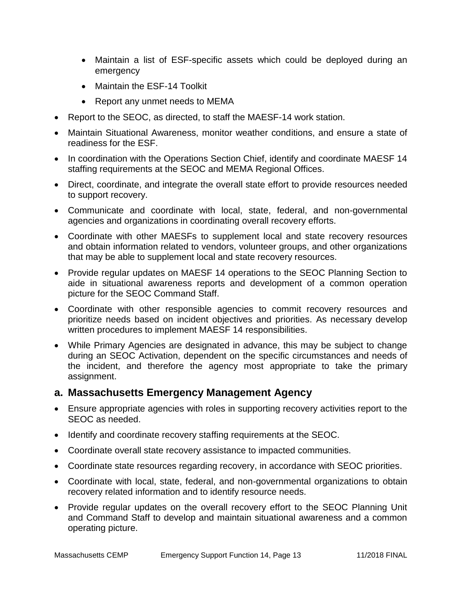- Maintain a list of ESF-specific assets which could be deployed during an emergency
- Maintain the ESF-14 Toolkit
- Report any unmet needs to MEMA
- Report to the SEOC, as directed, to staff the MAESF-14 work station.
- Maintain Situational Awareness, monitor weather conditions, and ensure a state of readiness for the ESF.
- In coordination with the Operations Section Chief, identify and coordinate MAESF 14 staffing requirements at the SEOC and MEMA Regional Offices.
- Direct, coordinate, and integrate the overall state effort to provide resources needed to support recovery.
- Communicate and coordinate with local, state, federal, and non-governmental agencies and organizations in coordinating overall recovery efforts.
- Coordinate with other MAESFs to supplement local and state recovery resources and obtain information related to vendors, volunteer groups, and other organizations that may be able to supplement local and state recovery resources.
- Provide regular updates on MAESF 14 operations to the SEOC Planning Section to aide in situational awareness reports and development of a common operation picture for the SEOC Command Staff.
- Coordinate with other responsible agencies to commit recovery resources and prioritize needs based on incident objectives and priorities. As necessary develop written procedures to implement MAESF 14 responsibilities.
- While Primary Agencies are designated in advance, this may be subject to change during an SEOC Activation, dependent on the specific circumstances and needs of the incident, and therefore the agency most appropriate to take the primary assignment.

#### **a. Massachusetts Emergency Management Agency**

- Ensure appropriate agencies with roles in supporting recovery activities report to the SEOC as needed.
- Identify and coordinate recovery staffing requirements at the SEOC.
- Coordinate overall state recovery assistance to impacted communities.
- Coordinate state resources regarding recovery, in accordance with SEOC priorities.
- Coordinate with local, state, federal, and non-governmental organizations to obtain recovery related information and to identify resource needs.
- Provide regular updates on the overall recovery effort to the SEOC Planning Unit and Command Staff to develop and maintain situational awareness and a common operating picture.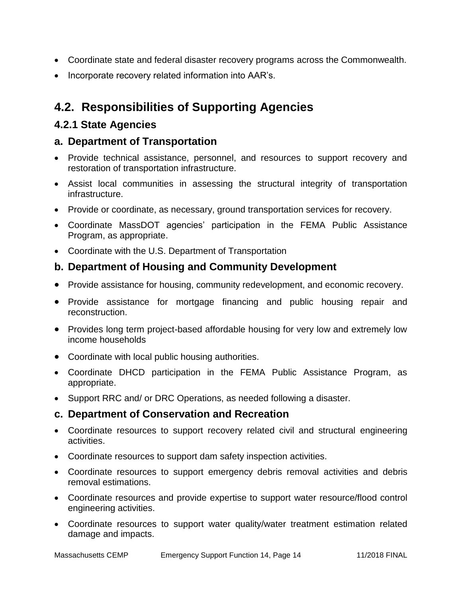- Coordinate state and federal disaster recovery programs across the Commonwealth.
- Incorporate recovery related information into AAR's.

## **4.2. Responsibilities of Supporting Agencies**

### **4.2.1 State Agencies**

#### **a. Department of Transportation**

- Provide technical assistance, personnel, and resources to support recovery and restoration of transportation infrastructure.
- Assist local communities in assessing the structural integrity of transportation infrastructure.
- Provide or coordinate, as necessary, ground transportation services for recovery.
- Coordinate MassDOT agencies' participation in the FEMA Public Assistance Program, as appropriate.
- Coordinate with the U.S. Department of Transportation

### **b. Department of Housing and Community Development**

- Provide assistance for housing, community redevelopment, and economic recovery.
- Provide assistance for mortgage financing and public housing repair and reconstruction.
- Provides long term project-based affordable housing for very low and extremely low income households
- Coordinate with local public housing authorities.
- Coordinate DHCD participation in the FEMA Public Assistance Program, as appropriate.
- Support RRC and/ or DRC Operations, as needed following a disaster.

#### **c. Department of Conservation and Recreation**

- Coordinate resources to support recovery related civil and structural engineering activities.
- Coordinate resources to support dam safety inspection activities.
- Coordinate resources to support emergency debris removal activities and debris removal estimations.
- Coordinate resources and provide expertise to support water resource/flood control engineering activities.
- Coordinate resources to support water quality/water treatment estimation related damage and impacts.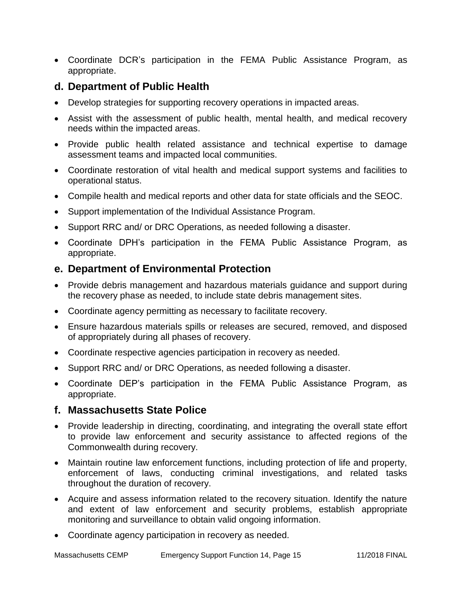Coordinate DCR's participation in the FEMA Public Assistance Program, as appropriate.

#### **d. Department of Public Health**

- Develop strategies for supporting recovery operations in impacted areas.
- Assist with the assessment of public health, mental health, and medical recovery needs within the impacted areas.
- Provide public health related assistance and technical expertise to damage assessment teams and impacted local communities.
- Coordinate restoration of vital health and medical support systems and facilities to operational status.
- Compile health and medical reports and other data for state officials and the SEOC.
- Support implementation of the Individual Assistance Program.
- Support RRC and/ or DRC Operations, as needed following a disaster.
- Coordinate DPH's participation in the FEMA Public Assistance Program, as appropriate.

#### **e. Department of Environmental Protection**

- Provide debris management and hazardous materials guidance and support during the recovery phase as needed, to include state debris management sites.
- Coordinate agency permitting as necessary to facilitate recovery.
- Ensure hazardous materials spills or releases are secured, removed, and disposed of appropriately during all phases of recovery.
- Coordinate respective agencies participation in recovery as needed.
- Support RRC and/ or DRC Operations, as needed following a disaster.
- Coordinate DEP's participation in the FEMA Public Assistance Program, as appropriate.

#### **f. Massachusetts State Police**

- Provide leadership in directing, coordinating, and integrating the overall state effort to provide law enforcement and security assistance to affected regions of the Commonwealth during recovery.
- Maintain routine law enforcement functions, including protection of life and property, enforcement of laws, conducting criminal investigations, and related tasks throughout the duration of recovery.
- Acquire and assess information related to the recovery situation. Identify the nature and extent of law enforcement and security problems, establish appropriate monitoring and surveillance to obtain valid ongoing information.
- Coordinate agency participation in recovery as needed.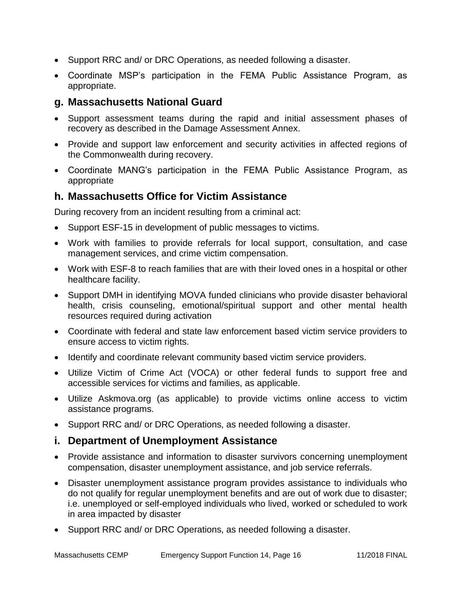- Support RRC and/ or DRC Operations, as needed following a disaster.
- Coordinate MSP's participation in the FEMA Public Assistance Program, as appropriate.

#### **g. Massachusetts National Guard**

- Support assessment teams during the rapid and initial assessment phases of recovery as described in the Damage Assessment Annex.
- Provide and support law enforcement and security activities in affected regions of the Commonwealth during recovery.
- Coordinate MANG's participation in the FEMA Public Assistance Program, as appropriate

#### **h. Massachusetts Office for Victim Assistance**

During recovery from an incident resulting from a criminal act:

- Support ESF-15 in development of public messages to victims.
- Work with families to provide referrals for local support, consultation, and case management services, and crime victim compensation.
- Work with ESF-8 to reach families that are with their loved ones in a hospital or other healthcare facility.
- Support DMH in identifying MOVA funded clinicians who provide disaster behavioral health, crisis counseling, emotional/spiritual support and other mental health resources required during activation
- Coordinate with federal and state law enforcement based victim service providers to ensure access to victim rights.
- Identify and coordinate relevant community based victim service providers.
- Utilize Victim of Crime Act (VOCA) or other federal funds to support free and accessible services for victims and families, as applicable.
- Utilize Askmova.org (as applicable) to provide victims online access to victim assistance programs.
- Support RRC and/ or DRC Operations, as needed following a disaster.

#### **i. Department of Unemployment Assistance**

- Provide assistance and information to disaster survivors concerning unemployment compensation, disaster unemployment assistance, and job service referrals.
- Disaster unemployment assistance program provides assistance to individuals who do not qualify for regular unemployment benefits and are out of work due to disaster; i.e. unemployed or self-employed individuals who lived, worked or scheduled to work in area impacted by disaster
- Support RRC and/ or DRC Operations, as needed following a disaster.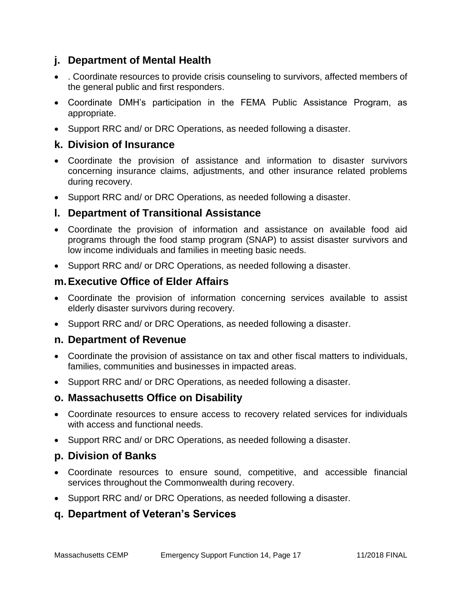### **j. Department of Mental Health**

- . Coordinate resources to provide crisis counseling to survivors, affected members of the general public and first responders.
- Coordinate DMH's participation in the FEMA Public Assistance Program, as appropriate.
- Support RRC and/ or DRC Operations, as needed following a disaster.

#### **k. Division of Insurance**

- Coordinate the provision of assistance and information to disaster survivors concerning insurance claims, adjustments, and other insurance related problems during recovery.
- Support RRC and/ or DRC Operations, as needed following a disaster.

#### **l. Department of Transitional Assistance**

- Coordinate the provision of information and assistance on available food aid programs through the food stamp program (SNAP) to assist disaster survivors and low income individuals and families in meeting basic needs.
- Support RRC and/ or DRC Operations, as needed following a disaster.

#### **m.Executive Office of Elder Affairs**

- Coordinate the provision of information concerning services available to assist elderly disaster survivors during recovery.
- Support RRC and/ or DRC Operations, as needed following a disaster.

#### **n. Department of Revenue**

- Coordinate the provision of assistance on tax and other fiscal matters to individuals, families, communities and businesses in impacted areas.
- Support RRC and/ or DRC Operations, as needed following a disaster.

#### **o. Massachusetts Office on Disability**

- Coordinate resources to ensure access to recovery related services for individuals with access and functional needs.
- Support RRC and/ or DRC Operations, as needed following a disaster.

#### **p. Division of Banks**

- Coordinate resources to ensure sound, competitive, and accessible financial services throughout the Commonwealth during recovery.
- Support RRC and/ or DRC Operations, as needed following a disaster.

#### **q. Department of Veteran's Services**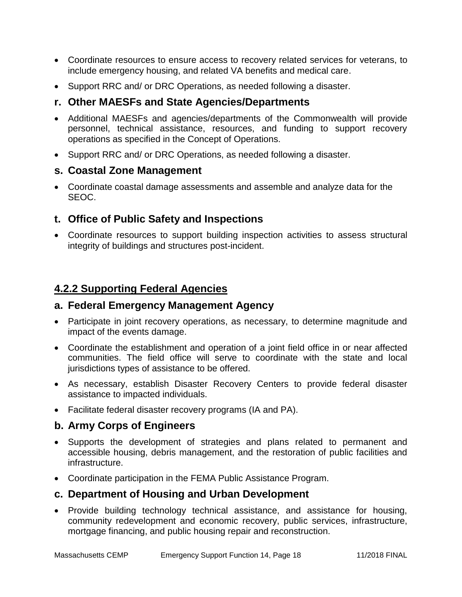- Coordinate resources to ensure access to recovery related services for veterans, to include emergency housing, and related VA benefits and medical care.
- Support RRC and/ or DRC Operations, as needed following a disaster.

#### **r. Other MAESFs and State Agencies/Departments**

- Additional MAESFs and agencies/departments of the Commonwealth will provide personnel, technical assistance, resources, and funding to support recovery operations as specified in the Concept of Operations.
- Support RRC and/ or DRC Operations, as needed following a disaster.

#### **s. Coastal Zone Management**

 Coordinate coastal damage assessments and assemble and analyze data for the SEOC.

#### **t. Office of Public Safety and Inspections**

 Coordinate resources to support building inspection activities to assess structural integrity of buildings and structures post-incident.

### **4.2.2 Supporting Federal Agencies**

#### **a. Federal Emergency Management Agency**

- Participate in joint recovery operations, as necessary, to determine magnitude and impact of the events damage.
- Coordinate the establishment and operation of a joint field office in or near affected communities. The field office will serve to coordinate with the state and local jurisdictions types of assistance to be offered.
- As necessary, establish Disaster Recovery Centers to provide federal disaster assistance to impacted individuals.
- Facilitate federal disaster recovery programs (IA and PA).

#### **b. Army Corps of Engineers**

- Supports the development of strategies and plans related to permanent and accessible housing, debris management, and the restoration of public facilities and infrastructure.
- Coordinate participation in the FEMA Public Assistance Program.

#### **c. Department of Housing and Urban Development**

 Provide building technology technical assistance, and assistance for housing, community redevelopment and economic recovery, public services, infrastructure, mortgage financing, and public housing repair and reconstruction.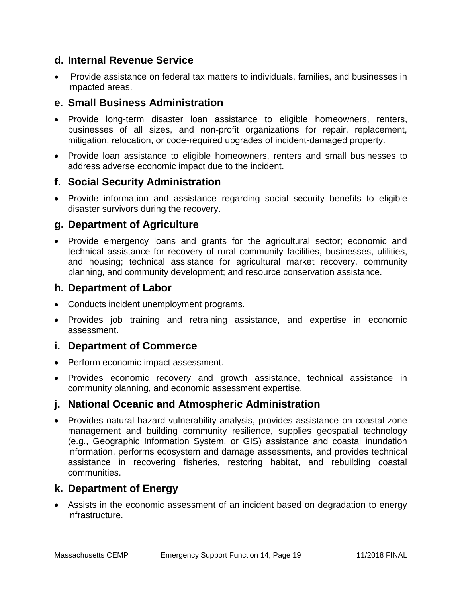#### **d. Internal Revenue Service**

 Provide assistance on federal tax matters to individuals, families, and businesses in impacted areas.

### **e. Small Business Administration**

- Provide long-term disaster loan assistance to eligible homeowners, renters, businesses of all sizes, and non-profit organizations for repair, replacement, mitigation, relocation, or code-required upgrades of incident-damaged property.
- Provide loan assistance to eligible homeowners, renters and small businesses to address adverse economic impact due to the incident.

### **f. Social Security Administration**

 Provide information and assistance regarding social security benefits to eligible disaster survivors during the recovery.

#### **g. Department of Agriculture**

• Provide emergency loans and grants for the agricultural sector; economic and technical assistance for recovery of rural community facilities, businesses, utilities, and housing; technical assistance for agricultural market recovery, community planning, and community development; and resource conservation assistance.

#### **h. Department of Labor**

- Conducts incident unemployment programs.
- Provides job training and retraining assistance, and expertise in economic assessment.

#### **i. Department of Commerce**

- Perform economic impact assessment.
- Provides economic recovery and growth assistance, technical assistance in community planning, and economic assessment expertise.

### **j. National Oceanic and Atmospheric Administration**

 Provides natural hazard vulnerability analysis, provides assistance on coastal zone management and building community resilience, supplies geospatial technology (e.g., Geographic Information System, or GIS) assistance and coastal inundation information, performs ecosystem and damage assessments, and provides technical assistance in recovering fisheries, restoring habitat, and rebuilding coastal communities.

#### **k. Department of Energy**

 Assists in the economic assessment of an incident based on degradation to energy infrastructure.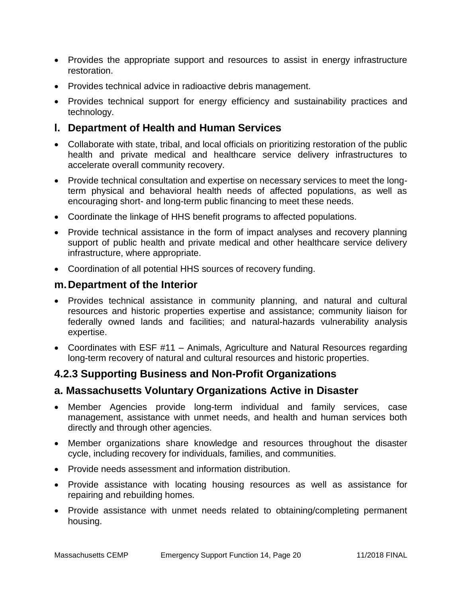- Provides the appropriate support and resources to assist in energy infrastructure restoration.
- Provides technical advice in radioactive debris management.
- Provides technical support for energy efficiency and sustainability practices and technology.

#### **l. Department of Health and Human Services**

- Collaborate with state, tribal, and local officials on prioritizing restoration of the public health and private medical and healthcare service delivery infrastructures to accelerate overall community recovery.
- Provide technical consultation and expertise on necessary services to meet the longterm physical and behavioral health needs of affected populations, as well as encouraging short- and long-term public financing to meet these needs.
- Coordinate the linkage of HHS benefit programs to affected populations.
- Provide technical assistance in the form of impact analyses and recovery planning support of public health and private medical and other healthcare service delivery infrastructure, where appropriate.
- Coordination of all potential HHS sources of recovery funding.

#### **m.Department of the Interior**

- Provides technical assistance in community planning, and natural and cultural resources and historic properties expertise and assistance; community liaison for federally owned lands and facilities; and natural-hazards vulnerability analysis expertise.
- Coordinates with ESF #11 Animals, Agriculture and Natural Resources regarding long-term recovery of natural and cultural resources and historic properties.

### **4.2.3 Supporting Business and Non-Profit Organizations**

#### **a. Massachusetts Voluntary Organizations Active in Disaster**

- Member Agencies provide long-term individual and family services, case management, assistance with unmet needs, and health and human services both directly and through other agencies.
- Member organizations share knowledge and resources throughout the disaster cycle, including recovery for individuals, families, and communities.
- Provide needs assessment and information distribution.
- Provide assistance with locating housing resources as well as assistance for repairing and rebuilding homes.
- Provide assistance with unmet needs related to obtaining/completing permanent housing.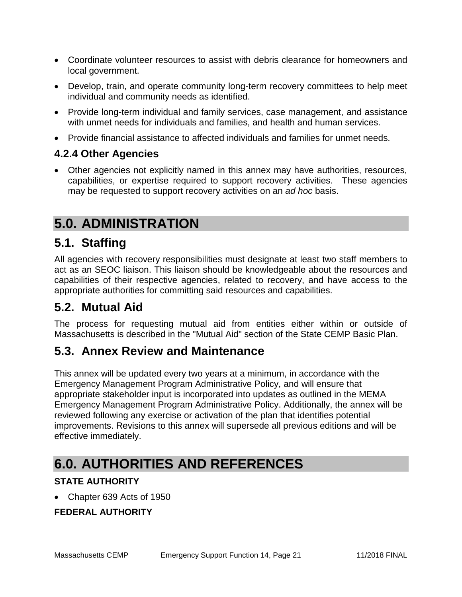- Coordinate volunteer resources to assist with debris clearance for homeowners and local government.
- Develop, train, and operate community long-term recovery committees to help meet individual and community needs as identified.
- Provide long-term individual and family services, case management, and assistance with unmet needs for individuals and families, and health and human services.
- Provide financial assistance to affected individuals and families for unmet needs.

### **4.2.4 Other Agencies**

 Other agencies not explicitly named in this annex may have authorities, resources, capabilities, or expertise required to support recovery activities. These agencies may be requested to support recovery activities on an *ad hoc* basis.

# **5.0. ADMINISTRATION**

### **5.1. Staffing**

All agencies with recovery responsibilities must designate at least two staff members to act as an SEOC liaison. This liaison should be knowledgeable about the resources and capabilities of their respective agencies, related to recovery, and have access to the appropriate authorities for committing said resources and capabilities.

### **5.2. Mutual Aid**

The process for requesting mutual aid from entities either within or outside of Massachusetts is described in the "Mutual Aid" section of the State CEMP Basic Plan.

### **5.3. Annex Review and Maintenance**

This annex will be updated every two years at a minimum, in accordance with the Emergency Management Program Administrative Policy, and will ensure that appropriate stakeholder input is incorporated into updates as outlined in the MEMA Emergency Management Program Administrative Policy. Additionally, the annex will be reviewed following any exercise or activation of the plan that identifies potential improvements. Revisions to this annex will supersede all previous editions and will be effective immediately.

# **6.0. AUTHORITIES AND REFERENCES**

#### **STATE AUTHORITY**

Chapter 639 Acts of 1950

### **FEDERAL AUTHORITY**